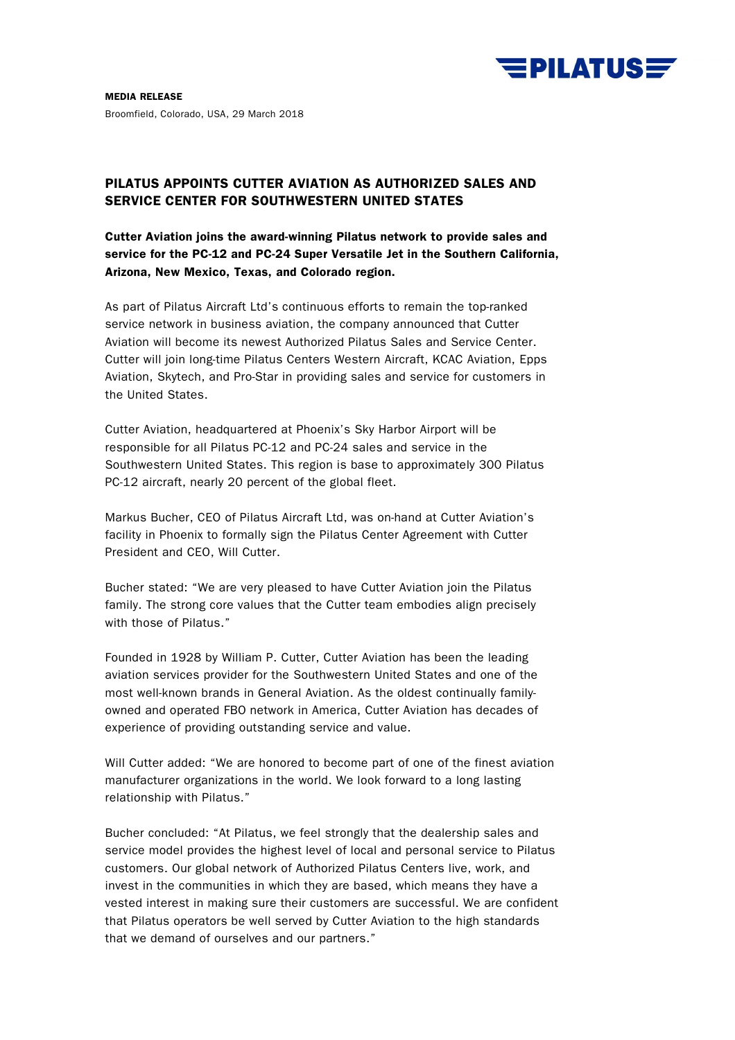

**MEDIA RELEASE**  Broomfield, Colorado, USA, 29 March 2018

# **PILATUS APPOINTS CUTTER AVIATION AS AUTHORIZED SALES AND SERVICE CENTER FOR SOUTHWESTERN UNITED STATES**

**Cutter Aviation joins the award-winning Pilatus network to provide sales and service for the PC-12 and PC-24 Super Versatile Jet in the Southern California, Arizona, New Mexico, Texas, and Colorado region.** 

As part of Pilatus Aircraft Ltd's continuous efforts to remain the top-ranked service network in business aviation, the company announced that Cutter Aviation will become its newest Authorized Pilatus Sales and Service Center. Cutter will join long-time Pilatus Centers Western Aircraft, KCAC Aviation, Epps Aviation, Skytech, and Pro-Star in providing sales and service for customers in the United States.

Cutter Aviation, headquartered at Phoenix's Sky Harbor Airport will be responsible for all Pilatus PC-12 and PC-24 sales and service in the Southwestern United States. This region is base to approximately 300 Pilatus PC-12 aircraft, nearly 20 percent of the global fleet.

Markus Bucher, CEO of Pilatus Aircraft Ltd, was on-hand at Cutter Aviation's facility in Phoenix to formally sign the Pilatus Center Agreement with Cutter President and CEO, Will Cutter.

Bucher stated: "We are very pleased to have Cutter Aviation join the Pilatus family. The strong core values that the Cutter team embodies align precisely with those of Pilatus."

Founded in 1928 by William P. Cutter, Cutter Aviation has been the leading aviation services provider for the Southwestern United States and one of the most well-known brands in General Aviation. As the oldest continually familyowned and operated FBO network in America, Cutter Aviation has decades of experience of providing outstanding service and value.

Will Cutter added: "We are honored to become part of one of the finest aviation manufacturer organizations in the world. We look forward to a long lasting relationship with Pilatus."

Bucher concluded: "At Pilatus, we feel strongly that the dealership sales and service model provides the highest level of local and personal service to Pilatus customers. Our global network of Authorized Pilatus Centers live, work, and invest in the communities in which they are based, which means they have a vested interest in making sure their customers are successful. We are confident that Pilatus operators be well served by Cutter Aviation to the high standards that we demand of ourselves and our partners."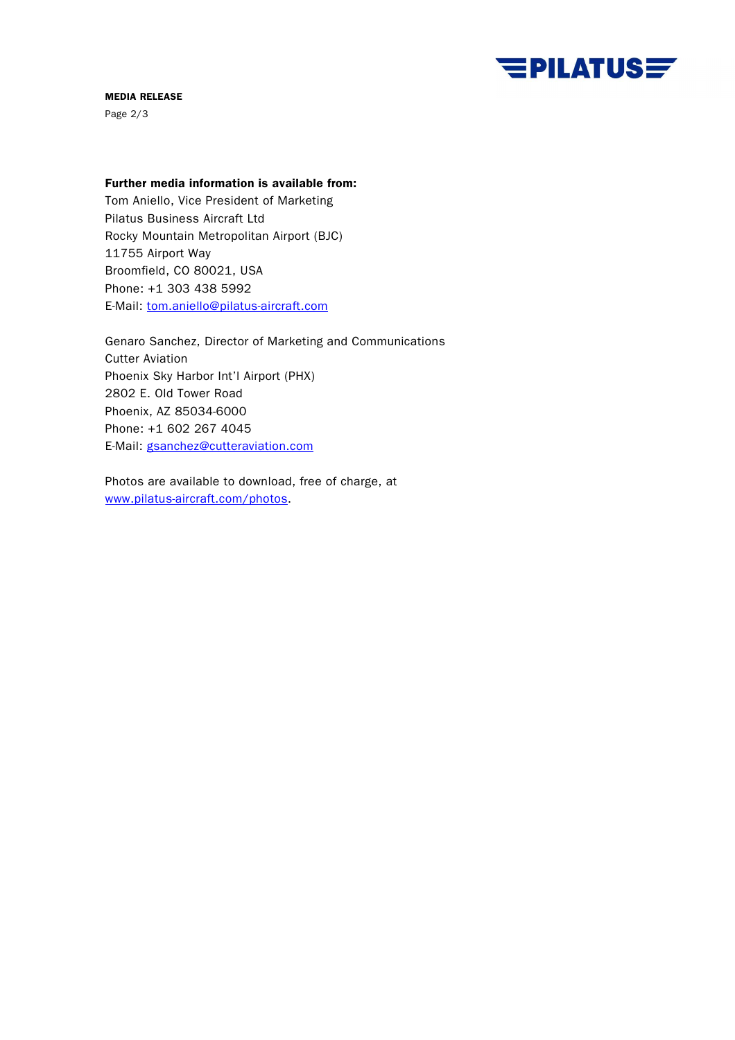

## **MEDIA RELEASE**

Page 2/3

# **Further media information is available from:**

Tom Aniello, Vice President of Marketing Pilatus Business Aircraft Ltd Rocky Mountain Metropolitan Airport (BJC) 11755 Airport Way Broomfield, CO 80021, USA Phone: +1 303 438 5992 E-Mail: tom.aniello@pilatus-aircraft.com

Genaro Sanchez, Director of Marketing and Communications Cutter Aviation Phoenix Sky Harbor Int'l Airport (PHX) 2802 E. Old Tower Road Phoenix, AZ 85034-6000 Phone: +1 602 267 4045 E-Mail: gsanchez@cutteraviation.com

Photos are available to download, free of charge, at www.pilatus-aircraft.com/photos.